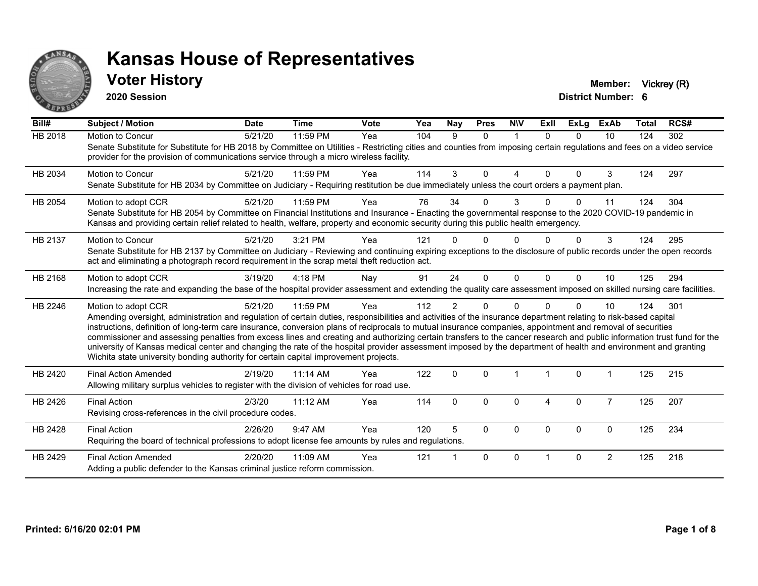

## **Voter History Member:** Vickrey (R)

**2020 Session**

| Bill#          | <b>Subject / Motion</b>                                                                                                                                                                                                                                                                                                                                                                                                                                                                                                                                                                                                                                                                                                                                                                  | <b>Date</b> | <b>Time</b> | <b>Vote</b> | Yea | <b>Nay</b>   | <b>Pres</b>  | <b>NIV</b>   | Exll     | ExLa     | <b>ExAb</b>    | <b>Total</b> | RCS# |
|----------------|------------------------------------------------------------------------------------------------------------------------------------------------------------------------------------------------------------------------------------------------------------------------------------------------------------------------------------------------------------------------------------------------------------------------------------------------------------------------------------------------------------------------------------------------------------------------------------------------------------------------------------------------------------------------------------------------------------------------------------------------------------------------------------------|-------------|-------------|-------------|-----|--------------|--------------|--------------|----------|----------|----------------|--------------|------|
| <b>HB 2018</b> | Motion to Concur<br>Senate Substitute for Substitute for HB 2018 by Committee on Utilities - Restricting cities and counties from imposing certain regulations and fees on a video service<br>provider for the provision of communications service through a micro wireless facility.                                                                                                                                                                                                                                                                                                                                                                                                                                                                                                    | 5/21/20     | 11:59 PM    | Yea         | 104 | 9            | $\Omega$     | $\mathbf 1$  | $\Omega$ | $\Omega$ | 10             | 124          | 302  |
| HB 2034        | <b>Motion to Concur</b><br>Senate Substitute for HB 2034 by Committee on Judiciary - Requiring restitution be due immediately unless the court orders a payment plan.                                                                                                                                                                                                                                                                                                                                                                                                                                                                                                                                                                                                                    | 5/21/20     | 11:59 PM    | Yea         | 114 | 3            | $\Omega$     | Δ            | $\Omega$ | $\Omega$ | 3              | 124          | 297  |
| HB 2054        | Motion to adopt CCR<br>Senate Substitute for HB 2054 by Committee on Financial Institutions and Insurance - Enacting the governmental response to the 2020 COVID-19 pandemic in<br>Kansas and providing certain relief related to health, welfare, property and economic security during this public health emergency.                                                                                                                                                                                                                                                                                                                                                                                                                                                                   | 5/21/20     | 11:59 PM    | Yea         | 76  | 34           | $\Omega$     | 3            |          | 0        | 11             | 124          | 304  |
| HB 2137        | <b>Motion to Concur</b><br>Senate Substitute for HB 2137 by Committee on Judiciary - Reviewing and continuing expiring exceptions to the disclosure of public records under the open records<br>act and eliminating a photograph record requirement in the scrap metal theft reduction act.                                                                                                                                                                                                                                                                                                                                                                                                                                                                                              | 5/21/20     | 3:21 PM     | Yea         | 121 |              | U            |              |          |          | 3              | 124          | 295  |
| HB 2168        | Motion to adopt CCR<br>Increasing the rate and expanding the base of the hospital provider assessment and extending the quality care assessment imposed on skilled nursing care facilities.                                                                                                                                                                                                                                                                                                                                                                                                                                                                                                                                                                                              | 3/19/20     | 4:18 PM     | Nay         | 91  | 24           | $\Omega$     | $\mathbf{0}$ | $\Omega$ | $\Omega$ | 10             | 125          | 294  |
| HB 2246        | Motion to adopt CCR<br>Amending oversight, administration and regulation of certain duties, responsibilities and activities of the insurance department relating to risk-based capital<br>instructions, definition of long-term care insurance, conversion plans of reciprocals to mutual insurance companies, appointment and removal of securities<br>commissioner and assessing penalties from excess lines and creating and authorizing certain transfers to the cancer research and public information trust fund for the<br>university of Kansas medical center and changing the rate of the hospital provider assessment imposed by the department of health and environment and granting<br>Wichita state university bonding authority for certain capital improvement projects. | 5/21/20     | 11:59 PM    | Yea         | 112 | 2            | $\Omega$     | $\Omega$     |          | $\Omega$ | 10             | 124          | 301  |
| HB 2420        | <b>Final Action Amended</b><br>Allowing military surplus vehicles to register with the division of vehicles for road use.                                                                                                                                                                                                                                                                                                                                                                                                                                                                                                                                                                                                                                                                | 2/19/20     | 11:14 AM    | Yea         | 122 | $\mathbf{0}$ | $\Omega$     |              |          | $\Omega$ |                | 125          | 215  |
| HB 2426        | <b>Final Action</b><br>Revising cross-references in the civil procedure codes.                                                                                                                                                                                                                                                                                                                                                                                                                                                                                                                                                                                                                                                                                                           | 2/3/20      | $11:12$ AM  | Yea         | 114 | $\Omega$     | $\Omega$     | $\Omega$     | 4        | $\Omega$ | $\overline{7}$ | 125          | 207  |
| HB 2428        | <b>Final Action</b><br>Requiring the board of technical professions to adopt license fee amounts by rules and regulations.                                                                                                                                                                                                                                                                                                                                                                                                                                                                                                                                                                                                                                                               | 2/26/20     | 9:47 AM     | Yea         | 120 | 5            | $\Omega$     | $\Omega$     | $\Omega$ | $\Omega$ | $\Omega$       | 125          | 234  |
| HB 2429        | <b>Final Action Amended</b><br>Adding a public defender to the Kansas criminal justice reform commission.                                                                                                                                                                                                                                                                                                                                                                                                                                                                                                                                                                                                                                                                                | 2/20/20     | 11:09 AM    | Yea         | 121 |              | $\mathbf{0}$ | $\Omega$     |          | $\Omega$ | $\overline{2}$ | 125          | 218  |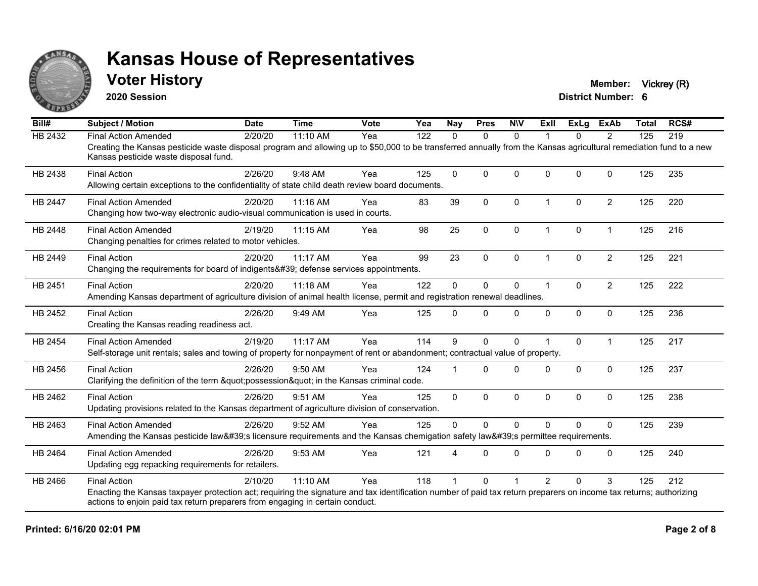

## **Voter History Member:** Vickrey (R)

**2020 Session**

| Bill#          | <b>Subject / Motion</b>                                                                                                                                                                                     | <b>Date</b> | <b>Time</b> | <b>Vote</b> | Yea | <b>Nay</b>   | <b>Pres</b>  | <b>NIV</b>   | Exll                 | ExLg     | <b>ExAb</b>    | <b>Total</b> | RCS# |
|----------------|-------------------------------------------------------------------------------------------------------------------------------------------------------------------------------------------------------------|-------------|-------------|-------------|-----|--------------|--------------|--------------|----------------------|----------|----------------|--------------|------|
| HB 2432        | <b>Final Action Amended</b>                                                                                                                                                                                 | 2/20/20     | 11:10 AM    | Yea         | 122 | $\Omega$     | $\mathbf{0}$ | $\mathbf{0}$ |                      | 0        | $\overline{2}$ | 125          | 219  |
|                | Creating the Kansas pesticide waste disposal program and allowing up to \$50,000 to be transferred annually from the Kansas agricultural remediation fund to a new<br>Kansas pesticide waste disposal fund. |             |             |             |     |              |              |              |                      |          |                |              |      |
| HB 2438        | <b>Final Action</b>                                                                                                                                                                                         | 2/26/20     | 9:48 AM     | Yea         | 125 | $\Omega$     | $\mathbf 0$  | $\Omega$     | $\Omega$             | $\Omega$ | $\mathbf{0}$   | 125          | 235  |
|                | Allowing certain exceptions to the confidentiality of state child death review board documents.                                                                                                             |             |             |             |     |              |              |              |                      |          |                |              |      |
| <b>HB 2447</b> | <b>Final Action Amended</b>                                                                                                                                                                                 | 2/20/20     | 11:16 AM    | Yea         | 83  | 39           | $\mathbf{0}$ | $\Omega$     | $\blacktriangleleft$ | $\Omega$ | $\overline{2}$ | 125          | 220  |
|                | Changing how two-way electronic audio-visual communication is used in courts.                                                                                                                               |             |             |             |     |              |              |              |                      |          |                |              |      |
| HB 2448        | <b>Final Action Amended</b>                                                                                                                                                                                 | 2/19/20     | 11:15 AM    | Yea         | 98  | 25           | 0            | $\mathbf 0$  | $\mathbf 1$          | 0        | $\mathbf{1}$   | 125          | 216  |
|                | Changing penalties for crimes related to motor vehicles.                                                                                                                                                    |             |             |             |     |              |              |              |                      |          |                |              |      |
| HB 2449        | <b>Final Action</b>                                                                                                                                                                                         | 2/20/20     | $11:17$ AM  | Yea         | 99  | 23           | $\mathbf{0}$ | $\Omega$     | 1                    | $\Omega$ | 2              | 125          | 221  |
|                | Changing the requirements for board of indigents' defense services appointments.                                                                                                                            |             |             |             |     |              |              |              |                      |          |                |              |      |
| HB 2451        | <b>Final Action</b>                                                                                                                                                                                         | 2/20/20     | 11:18 AM    | Yea         | 122 | $\Omega$     | $\mathbf 0$  | $\mathbf 0$  | $\blacktriangleleft$ | $\Omega$ | $\overline{2}$ | 125          | 222  |
|                | Amending Kansas department of agriculture division of animal health license, permit and registration renewal deadlines.                                                                                     |             |             |             |     |              |              |              |                      |          |                |              |      |
| HB 2452        | <b>Final Action</b>                                                                                                                                                                                         | 2/26/20     | 9:49 AM     | Yea         | 125 | $\Omega$     | $\mathbf{0}$ | $\Omega$     | $\Omega$             | 0        | $\mathbf 0$    | 125          | 236  |
|                | Creating the Kansas reading readiness act.                                                                                                                                                                  |             |             |             |     |              |              |              |                      |          |                |              |      |
| HB 2454        | <b>Final Action Amended</b>                                                                                                                                                                                 | 2/19/20     | 11:17 AM    | Yea         | 114 | 9            | $\mathbf{0}$ | $\Omega$     |                      | $\Omega$ | $\overline{1}$ | 125          | 217  |
|                | Self-storage unit rentals; sales and towing of property for nonpayment of rent or abandonment; contractual value of property.                                                                               |             |             |             |     |              |              |              |                      |          |                |              |      |
| HB 2456        | <b>Final Action</b>                                                                                                                                                                                         | 2/26/20     | $9:50$ AM   | Yea         | 124 |              | $\Omega$     | $\Omega$     | $\Omega$             | $\Omega$ | $\mathbf{0}$   | 125          | 237  |
|                | Clarifying the definition of the term "possession" in the Kansas criminal code.                                                                                                                             |             |             |             |     |              |              |              |                      |          |                |              |      |
| HB 2462        | <b>Final Action</b>                                                                                                                                                                                         | 2/26/20     | 9:51 AM     | Yea         | 125 | $\mathbf{0}$ | $\mathbf 0$  | $\Omega$     | $\Omega$             | 0        | $\mathbf{0}$   | 125          | 238  |
|                | Updating provisions related to the Kansas department of agriculture division of conservation.                                                                                                               |             |             |             |     |              |              |              |                      |          |                |              |      |
| HB 2463        | <b>Final Action Amended</b>                                                                                                                                                                                 | 2/26/20     | 9:52 AM     | Yea         | 125 | $\mathbf{0}$ | $\mathbf 0$  | $\Omega$     | $\Omega$             | $\Omega$ | $\mathbf{0}$   | 125          | 239  |
|                | Amending the Kansas pesticide law's licensure requirements and the Kansas chemigation safety law's permittee requirements.                                                                                  |             |             |             |     |              |              |              |                      |          |                |              |      |
| HB 2464        | <b>Final Action Amended</b>                                                                                                                                                                                 | 2/26/20     | 9:53 AM     | Yea         | 121 | 4            | $\Omega$     | $\Omega$     | $\Omega$             | $\Omega$ | $\mathbf{0}$   | 125          | 240  |
|                | Updating egg repacking requirements for retailers.                                                                                                                                                          |             |             |             |     |              |              |              |                      |          |                |              |      |
| HB 2466        | <b>Final Action</b>                                                                                                                                                                                         | 2/10/20     | 11:10 AM    | Yea         | 118 |              | $\Omega$     |              | $\overline{2}$       | $\Omega$ | 3              | 125          | 212  |
|                | Enacting the Kansas taxpayer protection act; requiring the signature and tax identification number of paid tax return preparers on income tax returns; authorizing                                          |             |             |             |     |              |              |              |                      |          |                |              |      |
|                | actions to enjoin paid tax return preparers from engaging in certain conduct.                                                                                                                               |             |             |             |     |              |              |              |                      |          |                |              |      |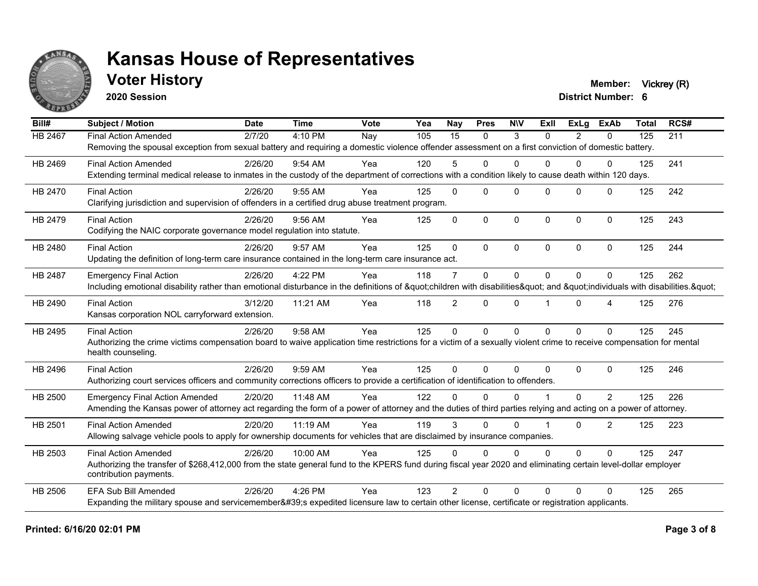

## **Voter History Member:** Vickrey (R)

**2020 Session**

| Bill#          | <b>Subject / Motion</b>                                                                                                                                             | <b>Date</b> | <b>Time</b> | Vote | Yea | Nay             | <b>Pres</b> | <b>NIV</b>   | ExII           | <b>ExLg</b>    | <b>ExAb</b>  | <b>Total</b> | RCS# |
|----------------|---------------------------------------------------------------------------------------------------------------------------------------------------------------------|-------------|-------------|------|-----|-----------------|-------------|--------------|----------------|----------------|--------------|--------------|------|
| <b>HB 2467</b> | <b>Final Action Amended</b>                                                                                                                                         | 2/7/20      | 4:10 PM     | Nay  | 105 | $\overline{15}$ | $\Omega$    | 3            | $\Omega$       | $\overline{2}$ | $\Omega$     | 125          | 211  |
|                | Removing the spousal exception from sexual battery and requiring a domestic violence offender assessment on a first conviction of domestic battery.                 |             |             |      |     |                 |             |              |                |                |              |              |      |
| HB 2469        | <b>Final Action Amended</b>                                                                                                                                         | 2/26/20     | $9:54$ AM   | Yea  | 120 | 5               | $\Omega$    | $\Omega$     | 0              | $\Omega$       | 0            | 125          | 241  |
|                | Extending terminal medical release to inmates in the custody of the department of corrections with a condition likely to cause death within 120 days.               |             |             |      |     |                 |             |              |                |                |              |              |      |
| HB 2470        | <b>Final Action</b>                                                                                                                                                 | 2/26/20     | 9:55 AM     | Yea  | 125 | $\Omega$        | $\Omega$    | $\Omega$     | $\Omega$       | $\Omega$       | $\Omega$     | 125          | 242  |
|                | Clarifying jurisdiction and supervision of offenders in a certified drug abuse treatment program.                                                                   |             |             |      |     |                 |             |              |                |                |              |              |      |
| HB 2479        | <b>Final Action</b>                                                                                                                                                 | 2/26/20     | 9:56 AM     | Yea  | 125 | $\Omega$        | $\Omega$    | $\mathbf{0}$ | $\Omega$       | $\Omega$       | $\mathbf{0}$ | 125          | 243  |
|                | Codifying the NAIC corporate governance model regulation into statute.                                                                                              |             |             |      |     |                 |             |              |                |                |              |              |      |
| <b>HB 2480</b> | <b>Final Action</b>                                                                                                                                                 | 2/26/20     | 9:57 AM     | Yea  | 125 | $\Omega$        | $\Omega$    | $\mathbf{0}$ | $\Omega$       | $\Omega$       | $\mathbf{0}$ | 125          | 244  |
|                | Updating the definition of long-term care insurance contained in the long-term care insurance act.                                                                  |             |             |      |     |                 |             |              |                |                |              |              |      |
| HB 2487        | <b>Emergency Final Action</b>                                                                                                                                       | 2/26/20     | 4:22 PM     | Yea  | 118 | 7               | $\Omega$    | $\mathbf{0}$ | $\Omega$       | $\Omega$       | $\Omega$     | 125          | 262  |
|                | Including emotional disability rather than emotional disturbance in the definitions of "children with disabilities" and "individuals with disabilities. "           |             |             |      |     |                 |             |              |                |                |              |              |      |
| HB 2490        | <b>Final Action</b>                                                                                                                                                 | 3/12/20     | 11:21 AM    | Yea  | 118 | $\overline{2}$  | $\Omega$    | $\mathbf{0}$ |                | $\Omega$       | 4            | 125          | 276  |
|                | Kansas corporation NOL carryforward extension.                                                                                                                      |             |             |      |     |                 |             |              |                |                |              |              |      |
| HB 2495        | <b>Final Action</b>                                                                                                                                                 | 2/26/20     | 9:58 AM     | Yea  | 125 | $\Omega$        | $\mathbf 0$ | $\mathbf{0}$ | $\Omega$       | $\Omega$       | $\Omega$     | 125          | 245  |
|                | Authorizing the crime victims compensation board to waive application time restrictions for a victim of a sexually violent crime to receive compensation for mental |             |             |      |     |                 |             |              |                |                |              |              |      |
|                | health counseling.                                                                                                                                                  |             |             |      |     |                 |             |              |                |                |              |              |      |
| HB 2496        | <b>Final Action</b>                                                                                                                                                 | 2/26/20     | 9:59 AM     | Yea  | 125 | $\Omega$        | $\Omega$    | $\Omega$     | $\Omega$       | $\Omega$       | $\Omega$     | 125          | 246  |
|                | Authorizing court services officers and community corrections officers to provide a certification of identification to offenders.                                   |             |             |      |     |                 |             |              |                |                |              |              |      |
| HB 2500        | <b>Emergency Final Action Amended</b>                                                                                                                               | 2/20/20     | 11:48 AM    | Yea  | 122 | $\Omega$        | $\Omega$    | $\Omega$     |                | $\Omega$       | 2            | 125          | 226  |
|                | Amending the Kansas power of attorney act regarding the form of a power of attorney and the duties of third parties relying and acting on a power of attorney.      |             |             |      |     |                 |             |              |                |                |              |              |      |
| HB 2501        | <b>Final Action Amended</b>                                                                                                                                         | 2/20/20     | 11:19 AM    | Yea  | 119 | 3               | $\Omega$    | $\Omega$     | $\overline{1}$ | $\Omega$       | 2            | 125          | 223  |
|                | Allowing salvage vehicle pools to apply for ownership documents for vehicles that are disclaimed by insurance companies.                                            |             |             |      |     |                 |             |              |                |                |              |              |      |
| HB 2503        | <b>Final Action Amended</b>                                                                                                                                         | 2/26/20     | 10:00 AM    | Yea  | 125 | $\Omega$        | $\Omega$    | $\Omega$     | $\Omega$       | $\Omega$       | $\Omega$     | 125          | 247  |
|                | Authorizing the transfer of \$268,412,000 from the state general fund to the KPERS fund during fiscal year 2020 and eliminating certain level-dollar employer       |             |             |      |     |                 |             |              |                |                |              |              |      |
|                | contribution payments.                                                                                                                                              |             |             |      |     |                 |             |              |                |                |              |              |      |
| <b>HB 2506</b> | <b>EFA Sub Bill Amended</b>                                                                                                                                         | 2/26/20     | $4:26$ PM   | Yea  | 123 | $\mathcal{P}$   | $\Omega$    | $\Omega$     | $\Omega$       | $\Omega$       | $\Omega$     | 125          | 265  |
|                | Expanding the military spouse and servicemember's expedited licensure law to certain other license, certificate or registration applicants.                         |             |             |      |     |                 |             |              |                |                |              |              |      |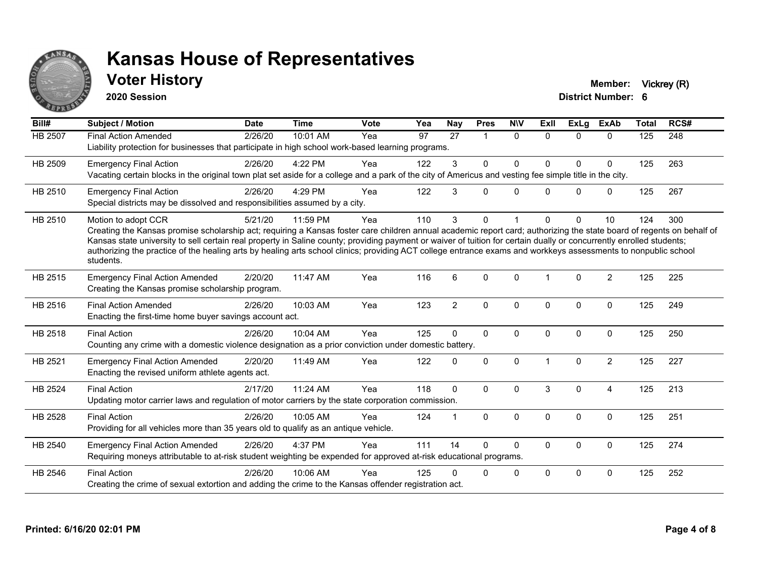

## **Voter History Member:** Vickrey (R)

**2020 Session**

| Bill#          | <b>Subject / Motion</b>                                                                                                                                                                                                                                                                                                                                                                                                                                                                                                                             | <b>Date</b> | <b>Time</b> | <b>Vote</b> | Yea | <b>Nay</b>     | <b>Pres</b>             | <b>NIV</b> | Exll           | ExLg         | <b>ExAb</b>    | <b>Total</b> | RCS# |
|----------------|-----------------------------------------------------------------------------------------------------------------------------------------------------------------------------------------------------------------------------------------------------------------------------------------------------------------------------------------------------------------------------------------------------------------------------------------------------------------------------------------------------------------------------------------------------|-------------|-------------|-------------|-----|----------------|-------------------------|------------|----------------|--------------|----------------|--------------|------|
| HB 2507        | <b>Final Action Amended</b><br>Liability protection for businesses that participate in high school work-based learning programs.                                                                                                                                                                                                                                                                                                                                                                                                                    | 2/26/20     | 10:01 AM    | Yea         | 97  | 27             | $\overline{\mathbf{A}}$ | $\Omega$   | $\Omega$       | $\Omega$     | $\Omega$       | 125          | 248  |
| HB 2509        | <b>Emergency Final Action</b><br>Vacating certain blocks in the original town plat set aside for a college and a park of the city of Americus and vesting fee simple title in the city.                                                                                                                                                                                                                                                                                                                                                             | 2/26/20     | 4:22 PM     | Yea         | 122 | 3              | $\mathbf{0}$            | $\Omega$   | $\Omega$       | $\Omega$     | $\mathbf 0$    | 125          | 263  |
| HB 2510        | <b>Emergency Final Action</b><br>Special districts may be dissolved and responsibilities assumed by a city.                                                                                                                                                                                                                                                                                                                                                                                                                                         | 2/26/20     | 4:29 PM     | Yea         | 122 | 3              | $\Omega$                | $\Omega$   | 0              | $\Omega$     | $\mathbf 0$    | 125          | 267  |
| HB 2510        | Motion to adopt CCR<br>Creating the Kansas promise scholarship act; requiring a Kansas foster care children annual academic report card; authorizing the state board of regents on behalf of<br>Kansas state university to sell certain real property in Saline county; providing payment or waiver of tuition for certain dually or concurrently enrolled students;<br>authorizing the practice of the healing arts by healing arts school clinics; providing ACT college entrance exams and workkeys assessments to nonpublic school<br>students. | 5/21/20     | 11:59 PM    | Yea         | 110 | 3              | $\Omega$                |            | $\Omega$       | $\Omega$     | 10             | 124          | 300  |
| HB 2515        | <b>Emergency Final Action Amended</b><br>Creating the Kansas promise scholarship program.                                                                                                                                                                                                                                                                                                                                                                                                                                                           | 2/20/20     | 11:47 AM    | Yea         | 116 | 6              | $\Omega$                | $\Omega$   | $\overline{1}$ | $\Omega$     | 2              | 125          | 225  |
| HB 2516        | <b>Final Action Amended</b><br>Enacting the first-time home buyer savings account act.                                                                                                                                                                                                                                                                                                                                                                                                                                                              | 2/26/20     | 10:03 AM    | Yea         | 123 | $\overline{2}$ | $\mathbf 0$             | 0          | $\Omega$       | 0            | $\mathbf 0$    | 125          | 249  |
| HB 2518        | <b>Final Action</b><br>Counting any crime with a domestic violence designation as a prior conviction under domestic battery.                                                                                                                                                                                                                                                                                                                                                                                                                        | 2/26/20     | 10:04 AM    | Yea         | 125 | $\Omega$       | $\mathbf 0$             | 0          | 0              | 0            | $\mathbf 0$    | 125          | 250  |
| HB 2521        | <b>Emergency Final Action Amended</b><br>Enacting the revised uniform athlete agents act.                                                                                                                                                                                                                                                                                                                                                                                                                                                           | 2/20/20     | 11:49 AM    | Yea         | 122 | $\Omega$       | $\mathbf 0$             | 0          |                | $\mathbf{0}$ | $\overline{2}$ | 125          | 227  |
| HB 2524        | <b>Final Action</b><br>Updating motor carrier laws and regulation of motor carriers by the state corporation commission.                                                                                                                                                                                                                                                                                                                                                                                                                            | 2/17/20     | 11:24 AM    | Yea         | 118 | $\Omega$       | $\Omega$                | $\Omega$   | 3              | $\Omega$     | $\overline{4}$ | 125          | 213  |
| <b>HB 2528</b> | <b>Final Action</b><br>Providing for all vehicles more than 35 years old to qualify as an antique vehicle.                                                                                                                                                                                                                                                                                                                                                                                                                                          | 2/26/20     | 10:05 AM    | Yea         | 124 |                | $\mathbf 0$             | 0          | $\Omega$       | $\Omega$     | $\mathbf 0$    | 125          | 251  |
| HB 2540        | <b>Emergency Final Action Amended</b><br>Requiring moneys attributable to at-risk student weighting be expended for approved at-risk educational programs.                                                                                                                                                                                                                                                                                                                                                                                          | 2/26/20     | 4:37 PM     | Yea         | 111 | 14             | $\Omega$                | $\Omega$   | 0              | $\Omega$     | $\mathbf 0$    | 125          | 274  |
| HB 2546        | <b>Final Action</b><br>Creating the crime of sexual extortion and adding the crime to the Kansas offender registration act.                                                                                                                                                                                                                                                                                                                                                                                                                         | 2/26/20     | 10:06 AM    | Yea         | 125 |                | 0                       | 0          | $\Omega$       | $\Omega$     | $\Omega$       | 125          | 252  |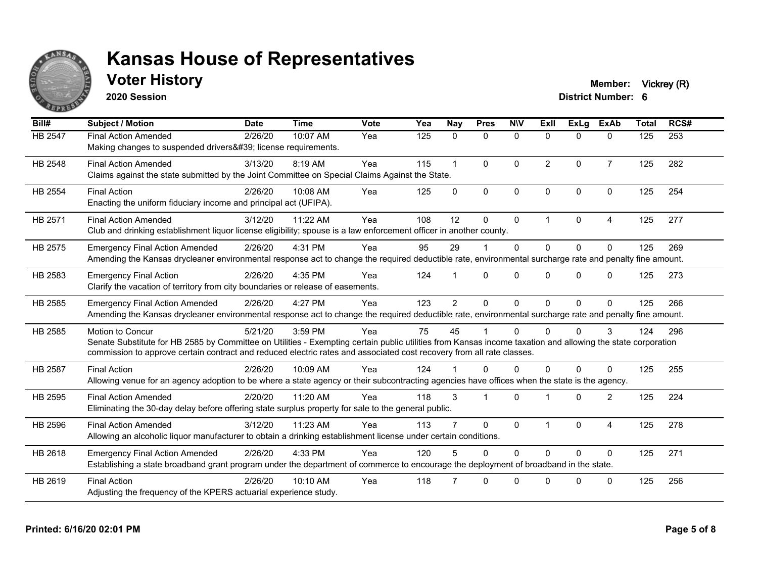

## **Voter History Member:** Vickrey (R)

**2020 Session**

| Bill#          | <b>Subject / Motion</b>                                                                                                                                                                                                                                                                                  | <b>Date</b> | <b>Time</b> | Vote | Yea | <b>Nay</b>     | <b>Pres</b>    | <b>NIV</b>   | ExII           | <b>ExLg</b> | <b>ExAb</b>    | <b>Total</b> | RCS# |
|----------------|----------------------------------------------------------------------------------------------------------------------------------------------------------------------------------------------------------------------------------------------------------------------------------------------------------|-------------|-------------|------|-----|----------------|----------------|--------------|----------------|-------------|----------------|--------------|------|
| HB 2547        | <b>Final Action Amended</b><br>Making changes to suspended drivers' license requirements.                                                                                                                                                                                                                | 2/26/20     | 10:07 AM    | Yea  | 125 | 0              | $\mathbf 0$    | $\mathbf 0$  | $\Omega$       | $\Omega$    | $\mathbf{0}$   | 125          | 253  |
| HB 2548        | <b>Final Action Amended</b><br>Claims against the state submitted by the Joint Committee on Special Claims Against the State.                                                                                                                                                                            | 3/13/20     | 8:19 AM     | Yea  | 115 | $\mathbf{1}$   | $\mathbf{0}$   | $\mathbf{0}$ | $\overline{2}$ | $\Omega$    | $\overline{7}$ | 125          | 282  |
| HB 2554        | <b>Final Action</b><br>Enacting the uniform fiduciary income and principal act (UFIPA).                                                                                                                                                                                                                  | 2/26/20     | 10:08 AM    | Yea  | 125 | $\Omega$       | $\mathbf{0}$   | $\mathbf 0$  | $\Omega$       | $\Omega$    | $\Omega$       | 125          | 254  |
| HB 2571        | <b>Final Action Amended</b><br>Club and drinking establishment liquor license eligibility; spouse is a law enforcement officer in another county.                                                                                                                                                        | 3/12/20     | 11:22 AM    | Yea  | 108 | 12             | $\Omega$       | $\mathbf{0}$ | 1              | $\Omega$    | $\overline{4}$ | 125          | 277  |
| HB 2575        | <b>Emergency Final Action Amended</b><br>Amending the Kansas drycleaner environmental response act to change the required deductible rate, environmental surcharge rate and penalty fine amount.                                                                                                         | 2/26/20     | 4:31 PM     | Yea  | 95  | 29             |                | $\mathbf{0}$ | $\Omega$       | $\Omega$    | $\Omega$       | 125          | 269  |
| HB 2583        | <b>Emergency Final Action</b><br>Clarify the vacation of territory from city boundaries or release of easements.                                                                                                                                                                                         | 2/26/20     | 4:35 PM     | Yea  | 124 |                | $\Omega$       | $\Omega$     | U              | $\Omega$    | $\Omega$       | 125          | 273  |
| HB 2585        | <b>Emergency Final Action Amended</b><br>Amending the Kansas drycleaner environmental response act to change the required deductible rate, environmental surcharge rate and penalty fine amount.                                                                                                         | 2/26/20     | 4:27 PM     | Yea  | 123 | $\overline{2}$ | $\mathbf{0}$   | $\Omega$     | $\Omega$       | $\Omega$    | $\Omega$       | 125          | 266  |
| HB 2585        | Motion to Concur<br>Senate Substitute for HB 2585 by Committee on Utilities - Exempting certain public utilities from Kansas income taxation and allowing the state corporation<br>commission to approve certain contract and reduced electric rates and associated cost recovery from all rate classes. | 5/21/20     | 3:59 PM     | Yea  | 75  | 45             |                | $\Omega$     | 0              | $\Omega$    | 3              | 124          | 296  |
| <b>HB 2587</b> | <b>Final Action</b><br>Allowing venue for an agency adoption to be where a state agency or their subcontracting agencies have offices when the state is the agency.                                                                                                                                      | 2/26/20     | 10:09 AM    | Yea  | 124 |                | $\Omega$       | $\Omega$     | $\Omega$       | $\Omega$    | $\Omega$       | 125          | 255  |
| HB 2595        | <b>Final Action Amended</b><br>Eliminating the 30-day delay before offering state surplus property for sale to the general public.                                                                                                                                                                       | 2/20/20     | 11:20 AM    | Yea  | 118 | 3              | $\overline{1}$ | $\Omega$     |                | $\Omega$    | 2              | 125          | 224  |
| HB 2596        | <b>Final Action Amended</b><br>Allowing an alcoholic liquor manufacturer to obtain a drinking establishment license under certain conditions.                                                                                                                                                            | 3/12/20     | 11:23 AM    | Yea  | 113 |                | $\Omega$       | $\mathbf{0}$ |                | $\Omega$    | 4              | 125          | 278  |
| HB 2618        | <b>Emergency Final Action Amended</b><br>Establishing a state broadband grant program under the department of commerce to encourage the deployment of broadband in the state.                                                                                                                            | 2/26/20     | 4:33 PM     | Yea  | 120 |                | $\Omega$       | $\Omega$     | $\Omega$       | $\Omega$    | $\Omega$       | 125          | 271  |
| HB 2619        | <b>Final Action</b><br>Adjusting the frequency of the KPERS actuarial experience study.                                                                                                                                                                                                                  | 2/26/20     | $10:10$ AM  | Yea  | 118 |                | $\Omega$       | $\Omega$     | U              | $\Omega$    | $\Omega$       | 125          | 256  |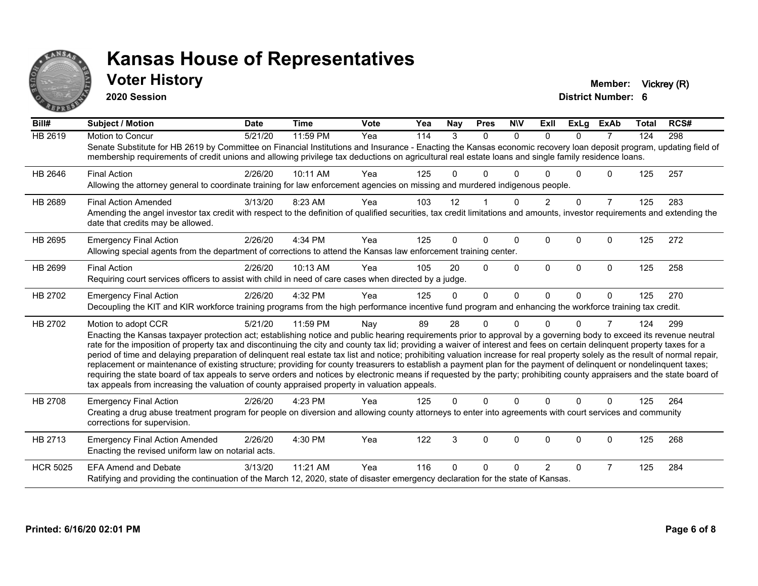

## **Voter History Member:** Vickrey (R)

**2020 Session**

| Bill#           | <b>Subject / Motion</b>                                                                                                                                                                                                                                                                                                                                     | <b>Date</b> | <b>Time</b> | Vote | Yea | <b>Nay</b> | <b>Pres</b>  | <b>NIV</b>   | <b>ExII</b>   | <b>ExLg</b>  | <b>ExAb</b>    | <b>Total</b> | RCS# |
|-----------------|-------------------------------------------------------------------------------------------------------------------------------------------------------------------------------------------------------------------------------------------------------------------------------------------------------------------------------------------------------------|-------------|-------------|------|-----|------------|--------------|--------------|---------------|--------------|----------------|--------------|------|
| HB 2619         | Motion to Concur                                                                                                                                                                                                                                                                                                                                            | 5/21/20     | 11:59 PM    | Yea  | 114 | 3          | $\mathbf{0}$ | $\mathbf{0}$ | $\Omega$      | $\Omega$     | 7              | 124          | 298  |
|                 | Senate Substitute for HB 2619 by Committee on Financial Institutions and Insurance - Enacting the Kansas economic recovery loan deposit program, updating field of<br>membership requirements of credit unions and allowing privilege tax deductions on agricultural real estate loans and single family residence loans.                                   |             |             |      |     |            |              |              |               |              |                |              |      |
| HB 2646         | <b>Final Action</b>                                                                                                                                                                                                                                                                                                                                         | 2/26/20     | 10:11 AM    | Yea  | 125 | 0          | 0            | $\Omega$     |               | $\Omega$     | $\mathbf{0}$   | 125          | 257  |
|                 | Allowing the attorney general to coordinate training for law enforcement agencies on missing and murdered indigenous people.                                                                                                                                                                                                                                |             |             |      |     |            |              |              |               |              |                |              |      |
| HB 2689         | <b>Final Action Amended</b>                                                                                                                                                                                                                                                                                                                                 | 3/13/20     | 8:23 AM     | Yea  | 103 | 12         |              | $\Omega$     | $\mathcal{P}$ | $\Omega$     | $\overline{7}$ | 125          | 283  |
|                 | Amending the angel investor tax credit with respect to the definition of qualified securities, tax credit limitations and amounts, investor requirements and extending the<br>date that credits may be allowed.                                                                                                                                             |             |             |      |     |            |              |              |               |              |                |              |      |
| HB 2695         | <b>Emergency Final Action</b>                                                                                                                                                                                                                                                                                                                               | 2/26/20     | 4:34 PM     | Yea  | 125 | $\Omega$   | 0            | $\Omega$     | $\Omega$      | $\Omega$     | $\Omega$       | 125          | 272  |
|                 | Allowing special agents from the department of corrections to attend the Kansas law enforcement training center.                                                                                                                                                                                                                                            |             |             |      |     |            |              |              |               |              |                |              |      |
| HB 2699         | <b>Final Action</b>                                                                                                                                                                                                                                                                                                                                         | 2/26/20     | 10:13 AM    | Yea  | 105 | 20         | 0            | $\Omega$     | $\Omega$      | $\mathbf{0}$ | $\mathbf{0}$   | 125          | 258  |
|                 | Requiring court services officers to assist with child in need of care cases when directed by a judge.                                                                                                                                                                                                                                                      |             |             |      |     |            |              |              |               |              |                |              |      |
| HB 2702         | <b>Emergency Final Action</b>                                                                                                                                                                                                                                                                                                                               | 2/26/20     | 4:32 PM     | Yea  | 125 | 0          | $\Omega$     | $\Omega$     | $\Omega$      | $\Omega$     | $\Omega$       | 125          | 270  |
|                 | Decoupling the KIT and KIR workforce training programs from the high performance incentive fund program and enhancing the workforce training tax credit.                                                                                                                                                                                                    |             |             |      |     |            |              |              |               |              |                |              |      |
| HB 2702         | Motion to adopt CCR                                                                                                                                                                                                                                                                                                                                         | 5/21/20     | 11:59 PM    | Nay  | 89  | 28         | 0            | U            |               | 0            | 7              | 124          | 299  |
|                 | Enacting the Kansas taxpayer protection act; establishing notice and public hearing requirements prior to approval by a governing body to exceed its revenue neutral                                                                                                                                                                                        |             |             |      |     |            |              |              |               |              |                |              |      |
|                 | rate for the imposition of property tax and discontinuing the city and county tax lid; providing a waiver of interest and fees on certain delinquent property taxes for a<br>period of time and delaying preparation of delinquent real estate tax list and notice; prohibiting valuation increase for real property solely as the result of normal repair, |             |             |      |     |            |              |              |               |              |                |              |      |
|                 | replacement or maintenance of existing structure; providing for county treasurers to establish a payment plan for the payment of delinquent or nondelinquent taxes;                                                                                                                                                                                         |             |             |      |     |            |              |              |               |              |                |              |      |
|                 | requiring the state board of tax appeals to serve orders and notices by electronic means if requested by the party; prohibiting county appraisers and the state board of                                                                                                                                                                                    |             |             |      |     |            |              |              |               |              |                |              |      |
|                 | tax appeals from increasing the valuation of county appraised property in valuation appeals.                                                                                                                                                                                                                                                                |             |             |      |     |            |              |              |               |              |                |              |      |
| <b>HB 2708</b>  | <b>Emergency Final Action</b>                                                                                                                                                                                                                                                                                                                               | 2/26/20     | 4:23 PM     | Yea  | 125 | $\Omega$   | $\Omega$     | $\Omega$     | $\Omega$      | $\Omega$     | $\mathbf{0}$   | 125          | 264  |
|                 | Creating a drug abuse treatment program for people on diversion and allowing county attorneys to enter into agreements with court services and community<br>corrections for supervision.                                                                                                                                                                    |             |             |      |     |            |              |              |               |              |                |              |      |
| HB 2713         | <b>Emergency Final Action Amended</b>                                                                                                                                                                                                                                                                                                                       | 2/26/20     | 4:30 PM     | Yea  | 122 | 3          | $\Omega$     | $\Omega$     | $\Omega$      | $\Omega$     | 0              | 125          | 268  |
|                 | Enacting the revised uniform law on notarial acts.                                                                                                                                                                                                                                                                                                          |             |             |      |     |            |              |              |               |              |                |              |      |
| <b>HCR 5025</b> | <b>EFA Amend and Debate</b>                                                                                                                                                                                                                                                                                                                                 | 3/13/20     | 11:21 AM    | Yea  | 116 | 0          | 0            | $\Omega$     | $\mathcal{P}$ | $\Omega$     | $\overline{7}$ | 125          | 284  |
|                 | Ratifying and providing the continuation of the March 12, 2020, state of disaster emergency declaration for the state of Kansas.                                                                                                                                                                                                                            |             |             |      |     |            |              |              |               |              |                |              |      |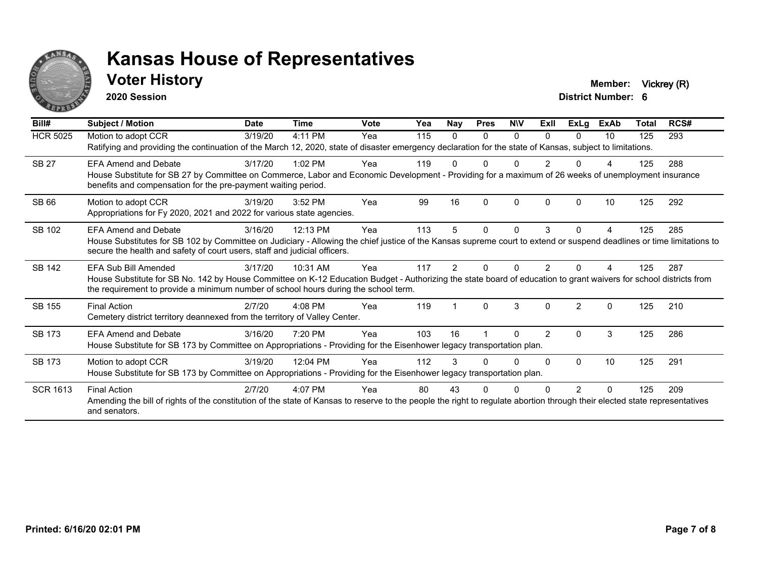

## **Voter History Member:** Vickrey (R)

**2020 Session**

| Bill#           | Subject / Motion                                                                                                                                                                                                                                                                  | <b>Date</b> | <b>Time</b> | <b>Vote</b> | Yea | Nay      | <b>Pres</b> | <b>NIV</b>   | ExII           | <b>ExLg</b>    | <b>ExAb</b> | <b>Total</b> | RCS# |
|-----------------|-----------------------------------------------------------------------------------------------------------------------------------------------------------------------------------------------------------------------------------------------------------------------------------|-------------|-------------|-------------|-----|----------|-------------|--------------|----------------|----------------|-------------|--------------|------|
| <b>HCR 5025</b> | Motion to adopt CCR<br>Ratifying and providing the continuation of the March 12, 2020, state of disaster emergency declaration for the state of Kansas, subject to limitations.                                                                                                   | 3/19/20     | 4:11 PM     | Yea         | 115 | $\Omega$ | 0           | $\Omega$     | 0              | 0              | 10          | 125          | 293  |
| <b>SB 27</b>    | <b>EFA Amend and Debate</b><br>House Substitute for SB 27 by Committee on Commerce, Labor and Economic Development - Providing for a maximum of 26 weeks of unemployment insurance<br>benefits and compensation for the pre-payment waiting period.                               | 3/17/20     | $1:02$ PM   | Yea         | 119 |          |             |              |                |                | 4           | 125          | 288  |
| SB 66           | Motion to adopt CCR<br>Appropriations for Fy 2020, 2021 and 2022 for various state agencies.                                                                                                                                                                                      | 3/19/20     | 3:52 PM     | Yea         | 99  | 16       | ŋ           | $\Omega$     | $\Omega$       | n              | 10          | 125          | 292  |
| SB 102          | <b>EFA Amend and Debate</b><br>House Substitutes for SB 102 by Committee on Judiciary - Allowing the chief justice of the Kansas supreme court to extend or suspend deadlines or time limitations to<br>secure the health and safety of court users, staff and judicial officers. | 3/16/20     | 12:13 PM    | Yea         | 113 | 5        | 0           | $\mathbf{0}$ | 3              | 0              | 4           | 125          | 285  |
| SB 142          | EFA Sub Bill Amended<br>House Substitute for SB No. 142 by House Committee on K-12 Education Budget - Authorizing the state board of education to grant waivers for school districts from<br>the requirement to provide a minimum number of school hours during the school term.  | 3/17/20     | 10:31 AM    | Yea         | 117 | 2        |             | U            |                |                |             | 125          | 287  |
| SB 155          | <b>Final Action</b><br>Cemetery district territory deannexed from the territory of Valley Center.                                                                                                                                                                                 | 2/7/20      | $4:08$ PM   | Yea         | 119 |          | $\Omega$    | 3            | 0              | $\mathfrak{p}$ | 0           | 125          | 210  |
| SB 173          | <b>EFA Amend and Debate</b><br>House Substitute for SB 173 by Committee on Appropriations - Providing for the Eisenhower legacy transportation plan.                                                                                                                              | 3/16/20     | 7:20 PM     | Yea         | 103 | 16       |             | $\Omega$     | $\overline{2}$ | $\Omega$       | 3           | 125          | 286  |
| SB 173          | Motion to adopt CCR<br>House Substitute for SB 173 by Committee on Appropriations - Providing for the Eisenhower legacy transportation plan.                                                                                                                                      | 3/19/20     | 12:04 PM    | Yea         | 112 | 3        |             | <sup>0</sup> | 0              | 0              | 10          | 125          | 291  |
| <b>SCR 1613</b> | <b>Final Action</b><br>Amending the bill of rights of the constitution of the state of Kansas to reserve to the people the right to regulate abortion through their elected state representatives<br>and senators.                                                                | 2/7/20      | 4:07 PM     | Yea         | 80  | 43       |             |              |                |                | 0           | 125          | 209  |